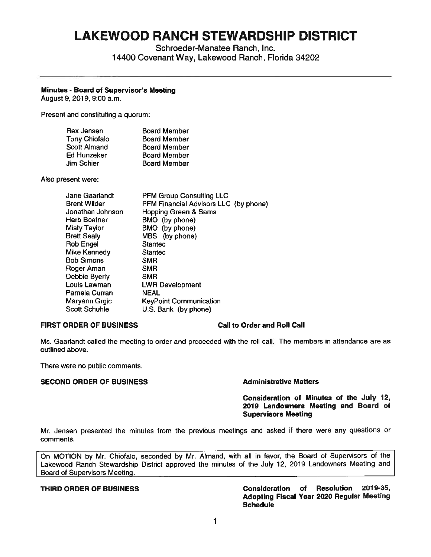# **LAKEWOOD RANCH STEWARDSHIP DISTRICT**

Schroeder-Manatee Ranch, Inc. 14400 Covenant Way, Lakewood Ranch, Florida 34202

## **Minutes** - **Board of Supervisor's Meeting**

August 9, 2019, 9:00 a.m.

Present and constituting a quorum:

| Rex Jensen           | <b>Board Member</b> |
|----------------------|---------------------|
| <b>Tony Chiofalo</b> | <b>Board Member</b> |
| <b>Scott Almand</b>  | <b>Board Member</b> |
| Ed Hunzeker          | <b>Board Member</b> |
| Jim Schier           | <b>Board Member</b> |

Also present were:

| Jane Gaarlandt     | <b>PFM Group Consulting LLC</b>       |
|--------------------|---------------------------------------|
| Brent Wilder       | PFM Financial Advisors LLC (by phone) |
| Jonathan Johnson   | Hopping Green & Sams                  |
| Herb Boatner       | BMO (by phone)                        |
| Misty Taylor       | BMO (by phone)                        |
| <b>Brett Sealy</b> | MBS (by phone)                        |
| Rob Engel          | <b>Stantec</b>                        |
| Mike Kennedy       | <b>Stantec</b>                        |
| Bob Simons         | <b>SMR</b>                            |
| Roger Aman         | <b>SMR</b>                            |
| Debbie Byerly      | <b>SMR</b>                            |
| Louis Lawman       | <b>LWR Development</b>                |
| Pamela Curran      | <b>NEAL</b>                           |
| Maryann Grgic      | <b>KeyPoint Communication</b>         |
| Scott Schuhle      | U.S. Bank (by phone)                  |
|                    |                                       |

### **FIRST ORDER OF BUSINESS Call to Order and Roll Call**

Ms. Gaarlandt called the meeting to order and proceeded with the roll call. The members in attendance are as outlined above.

There were no public comments.

### **SECOND ORDER OF BUSINESS Administrative Matters**

### **Consideration of Minutes of the July 12, 2019 Landowners Meeting and Board of Supervisors Meeting**

Mr. Jensen presented the minutes from the previous meetings and asked if there were any questions or comments.

On MOTION by Mr. Chiofalo, seconded by Mr. Almand, with all in favor, the Board of Supervisors of the Lakewood Ranch Stewardship District approved the minutes of the July 12, 2019 Landowners Meeting and Board of Supervisors Meeting.

### **THIRD ORDER OF BUSINESS Consideration of Resolution 2019-35, Adopting Fiscal Year 2020 Regular Meeting Schedule**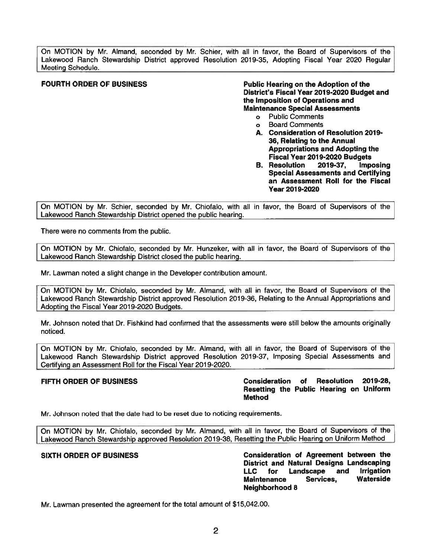On MOTION by Mr. Almand, seconded by Mr. Schier, with all in favor, the Board of Supervisors of the Lakewood Ranch Stewardship District approved Resolution 2019-35, Adopting Fiscal Year 2020 Regular Meeting Schedule.

**FOURTH ORDER OF BUSINESS FOURTH ORDER OF BUSINESS PUBLIC HEATING PUBLIC HEATING ADDITION District's Fiscal Year 2019-2020 Budget and the Imposition of Operations and Maintenance Special Assessments** 

- o Public Comments
- o Board Comments
- **A. Consideration of Resolution 2019- 36, Relating to the Annual Appropriations and Adopting the Fiscal Year 2019-2020 Budgets**
- B. Resolution 2019-37, Imposing Special Assessments and Certifying an Assessment Roll for the Fiscal **Year 2019-2020**

On MOTION by Mr. Schier, seconded by **Mr.** Chiofalo, with all in favor, the Board of Supervisors of the Lakewood Ranch Stewardship District opened the public hearing.

There were no comments from the public.

On MOTION by **Mr.** Chiofalo, seconded by Mr. Hunzeker, with all in favor, the Board of Supervisors of the Lakewood Ranch Stewardship District closed the public hearing.

Mr. Lawman noted a slight change in the Developer contribution amount.

On MOTION by Mr. Chiofalo, seconded by Mr. Almand, with all in favor, the Board of Supervisors of the Lakewood Ranch Stewardship District approved Resolution 2019-36, Relating to the Annual Appropriations and AdoptinQ the Fiscal Year 2019-2020 BudQets.

Mr. Johnson noted that Dr. Fishkind had confirmed that the assessments were still below the amounts originally noticed.

On MOTION by Mr. Chiofalo, seconded by Mr. Almand, with all in favor, the Board of Supervisors of the Lakewood Ranch Stewardship District approved Resolution 2019-37, Imposing Special Assessments and Certifying an Assessment Roll for the Fiscal Year 2019-2020.

**FIFTH ORDER OF BUSINESS Consideration of Resolution 2019-28, Resetting the Public Hearing on Uniform Method** 

Mr. Johnson noted that the date had to be reset due to noticing requirements.

On MOTION by Mr. Chiofalo, seconded by Mr. Almand, with all in favor, the Board of Supervisors of the Lakewood Ranch Stewardship approved Resolution 2019-38, Resetting the Public Hearing on Uniform Method

**SIXTH ORDER OF BUSINESS Consideration of Agreement between the District and Natural Designs Landscaping**  LLC **for Landscape and Irrigation Maintenance Services, Waterside Neighborhood 8** 

Mr. Lawman presented the agreement for the total amount of \$[15,042.00](https://15,042.00).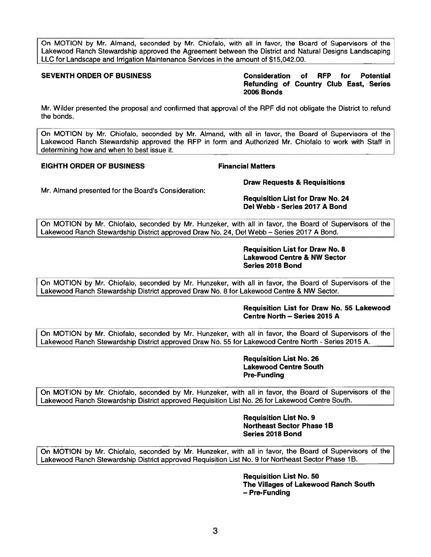On MOTION by Mr. Almand, seconded by Mr. Chiofalo, with all in favor, the Board of Supervisors of the Lakewood Ranch Stewardship approved the Agreement between the District and Natural Designs Landscaping LLC for Landscape and Irrigation Maintenance Services in the amount of \$[15,042.00](https://15,042.00).

**SEVENTH ORDER OF BUSINESS Consideration of RFP for Potential Refunding of Country Club East, Series 2006 Bonds** 

Mr. Wilder presented the proposat and confirmed that approval of the RPF did not obligate the District to refund the bonds.

On MOTION by Mr. Chiofalo, seconded by Mr. Almand, with all in favor, the Board of Supervisors of the Lakewood Ranch Stewardship approved the RFP in form and Authorized Mr. Chiofalo to work with Staff in determining how and when to best issue it.

### **EIGHTH ORDER OF BUSINESS Financial Matters**

**Draw Requests** & **Requisitions** 

Mr. Almand presented for the Board's Consideration:

**Requisition List for Draw No. 24 Del Webb** - **Series 2017 A Bond** 

On MOTION by Mr. Chiofalo, seconded by Mr. Hunzeker, with all in favor, the Board of Supervisors of the Lakewood Ranch Stewardship District approved Draw No. 24, Del Webb- Series 2017 A Bond.

> **Requisition List for Draw No. 8 Lakewood Centre** & **NW Sector Series 2018 Bond**

On MOTION by Mr. Chiofalo, seconded by Mr. Hunzeker, with all in favor, the Board of Supervisors of the Lakewood Ranch Stewardship District approved Draw No. 8 for Lakewood Centre & **NW** Sector.

### **Requisition List for Draw No. 55 Lakewood Centre North** - **Series 2015 A**

On MOTION by Mr. Chiofalo, seconded by Mr. Hunzeker, with all in favor, the Board of Supervisors of the Lakewood Ranch Stewardship District approved Draw No. 55 for Lakewood Centre North - Series 2015 A.

> **Requisition List No. 26 Lakewood Centre South Pre-Funding**

On MOTION by **Mr.** Chiofalo, seconded by Mr. Hunzeker, with all in favor, the Board of Supervisors of the Lakewood Ranch Stewardship District approved Requisition List No. 26 for Lakewood Centre South.

> **Requisition List No. 9 Northeast Sector Phase 1B Series 2018 Bond**

On MOTION by **Mr.** Chiofalo, seconded by Mr. Hunzeker, with all in favor, the Board of Supervisors of the Lakewood Ranch Stewardship District approved Requisition List No. 9 for Northeast Sector Phase 1B.

> **Requisition List No. 50 The Villages of Lakewood Ranch South**  - **Pre-Funding**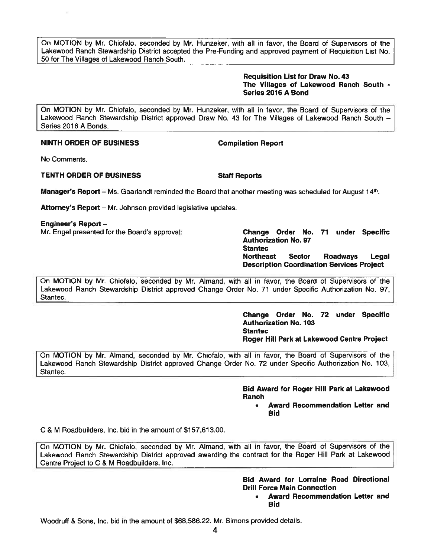On MOTION by Mr. Chiofalo, seconded by Mr. Hunzeker, with all in favor, the Board of Supervisors of the Lakewood Ranch Stewardship District accepted the Pre-Funding and approved payment of Requisition List No. 50 for The Villages of Lakewood Ranch South.

### **Requisition List for Draw No. 43 The Villages of Lakewood Ranch South** - **Series 2016 A Bond**

On MOTION by Mr. Chiofalo, seconded by Mr. Hunzeker, with all in favor, the Board of Supervisors of the Lakewood Ranch Stewardship District approved Draw No. 43 for The Villages of Lakewood Ranch South -Series 2016 A Bonds.

### **NINTH ORDER OF BUSINESS Compilation Report**

No Comments.

### **TENTH ORDER OF BUSINESS Staff Reports**

**Manager's Report** – Ms. Gaarlandt reminded the Board that another meeting was scheduled for August 14th.

Attorney's Report - Mr. Johnson provided legislative updates.

**Engineer's Report** -

Mr. Engel presented for the Board's approval: **Change Order No. 71 under Specific** 

**Authorization No. 97 Stantec Northeast Sector Roadways Legal Description Coordination Services Proiect** 

On MOTION by Mr. Chiofalo, seconded by Mr. Almand, with all in favor, the Board of Supervisors of the Lakewood Ranch Stewardship District approved Change Order No. 71 under Specific Authorization No. 97, Stantec.

> **Change Order No. 72 under Specific Authorization No. 103 Stantec Roger** Hill **Park at Lakewood Centre Project**

On MOTION by Mr. Almand, seconded by Mr. Chiofalo, with all in favor, the Board of Supervisors of the Lakewood Ranch Stewardship District approved Change Order No. 72 under Specific Authorization No. 103, Stantec.

> **Bid Award for Roger** Hill **Park at Lakewood Ranch**

• **Award Recommendation Letter and Bid** 

C & M Roadbuilders, Inc. bid in the amount of \$[157,613.00](https://157,613.00).

On MOTION by Mr. Chiofalo, seconded by Mr. Almand, with all in favor, the Board of Supervisors of the Lakewood Ranch Stewardship District approved awarding the contract for the Roger Hill Park at Lakewood Centre Project to C & M Roadbuilders, Inc.

> **Bid Award for Lorraine Road Directional Drill Force Main Connection**

• **Award Recommendation Letter and Bid**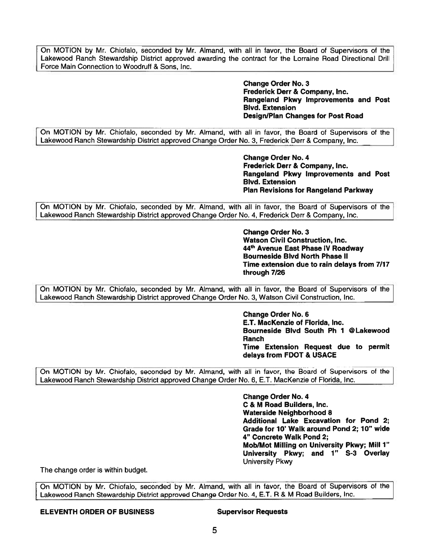On MOTION by Mr. Chiofalo, seconded by Mr. Almand, with all in favor, the Board of Supervisors of the Lakewood Ranch Stewardship District approved awarding the contract for the Lorraine Road Directional Drill Force Main Connection to Woodruff & Sons, Inc.

> **Change Order No. 3 Frederick Derr** & **Company,** Inc. **Rangeland Pkwy Improvements and Post Blvd. Extension Design/Plan Changes for Post Road**

On MOTION by Mr. Chiofalo, seconded by Mr. Almand, with all in favor, the Board of Supervisors of the Lakewood Ranch Stewardship District approved Change Order No. 3, Frederick Derr & Company, Inc.

> **Change Order No. 4 Frederick Derr** & **Company, Inc. Rangeland Pkwy Improvements and Post Blvd. Extension Plan Revisions for Rangeland Parkway**

On MOTION by Mr. Chiofalo, seconded by Mr. Almand, with all in favor, the Board of Supervisors of the Lakewood Ranch Stewardship District approved Change Order No. 4, Frederick Derr & Company, Inc.

> **Change Order No. 3 Watson Civil Construction, Inc. <sup>44</sup>th Avenue East Phase IV Roadway Bourneside Blvd North Phase** II **Time extension due to rain delays from 7/17 through 7/26**

On MOTION by Mr. Chiofalo, seconded by Mr. Almand, with all in favor, the Board of Supervisors of the Lakewood Ranch Stewardship District approved Change Order No. 3, Watson Civil Construction, Inc.

> **Change Order No. 6 E.T. MacKenzie of Florida, Inc. Bourneside Blvd South Ph 1 @Lakewood Ranch Time Extension Request due to permit delays from FOOT** & **USACE**

On MOTION by Mr. Chiofalo, seconded by Mr. Almand, with all in favor, the Board of Supervisors of the Lakewood Ranch Stewardship District approved Change Order No. 6, E.T. MacKenzie of Florida, Inc.

> **Change Order No. 4 C** & **M Road Builders, Inc. Waterside Neighborhood 8 Additional Lake Excavation for Pond 2; Grade for 10' Walk around Pond 2; 10" wide 4" Concrete Walk Pond 2; Mob/Mot Milling on University Pkwy; Mill 1" University Pkwy; and** 1" **S-3 Overlay**  University Pkwy

The change order is within budget.

On MOTION by Mr. Chiofalo, seconded by Mr. Almand, with all in favor, the Board of Supervisors of the Lakewood Ranch Stewardship District approved Change Order No. 4, E.T. R & M Road Builders, Inc.

# **ELEVENTH ORDER OF BUSINESS Supervisor Requests**